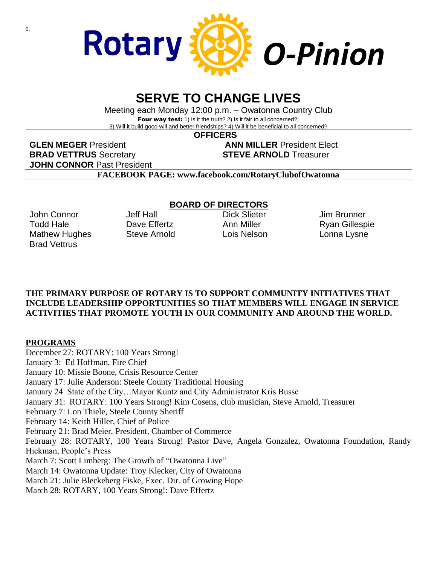

# **SERVE TO CHANGE LIVES**

Meeting each Monday 12:00 p.m. – Owatonna Country Club Four way test: 1) Is it the truth? 2) Is it fair to all concerned?; 3) Will it build good will and better friendships? 4) Will it be beneficial to all concerned?

 **OFFICERS**

**GLEN MEGER** President **ANN MILLER** President Elect **BRAD VETTRUS** Secretary **STEVE ARNOLD** Treasurer **JOHN CONNOR** Past President

**FACEBOOK PAGE: www.facebook.com/RotaryClubofOwatonna**

### **BOARD OF DIRECTORS**

John Connor Todd Hale Mathew Hughes Brad Vettrus

Jeff Hall Dave Effertz Steve Arnold

Dick Slieter Ann Miller Lois Nelson Jim Brunner Ryan Gillespie Lonna Lysne

#### **THE PRIMARY PURPOSE OF ROTARY IS TO SUPPORT COMMUNITY INITIATIVES THAT INCLUDE LEADERSHIP OPPORTUNITIES SO THAT MEMBERS WILL ENGAGE IN SERVICE ACTIVITIES THAT PROMOTE YOUTH IN OUR COMMUNITY AND AROUND THE WORLD.**

#### **PROGRAMS**

December 27: ROTARY: 100 Years Strong! January 3: Ed Hoffman, Fire Chief January 10: Missie Boone, Crisis Resource Center January 17: Julie Anderson: Steele County Traditional Housing January 24 State of the City…Mayor Kuntz and City Administrator Kris Busse January 31: ROTARY: 100 Years Strong! Kim Cosens, club musician, Steve Arnold, Treasurer February 7: Lon Thiele, Steele County Sheriff February 14: Keith Hiller, Chief of Police February 21: Brad Meier, President, Chamber of Commerce February 28: ROTARY, 100 Years Strong! Pastor Dave, Angela Gonzalez, Owatonna Foundation, Randy Hickman, People's Press March 7: Scott Limberg: The Growth of "Owatonna Live" March 14: Owatonna Update: Troy Klecker, City of Owatonna March 21: Julie Bleckeberg Fiske, Exec. Dir. of Growing Hope March 28: ROTARY, 100 Years Strong!: Dave Effertz